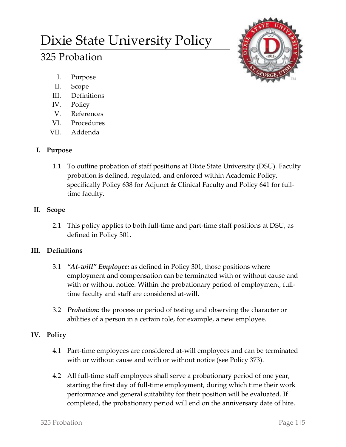# Dixie State University Policy

# 325 Probation



- I. Purpose
- II. Scope
- III. Definitions
- IV. Policy
- V. References
- VI. Procedures
- VII. Addenda

#### **I. Purpose**

1.1 To outline probation of staff positions at Dixie State University (DSU). Faculty probation is defined, regulated, and enforced within Academic Policy, specifically Policy 638 for Adjunct & Clinical Faculty and Policy 641 for fulltime faculty.

# **II. Scope**

2.1 This policy applies to both full-time and part-time staff positions at DSU, as defined in Policy 301.

# **III. Definitions**

- 3.1 *"At-will" Employee:* as defined in Policy 301, those positions where employment and compensation can be terminated with or without cause and with or without notice. Within the probationary period of employment, fulltime faculty and staff are considered at-will.
- 3.2 *Probation:* the process or period of testing and observing the character or abilities of a person in a certain role, for example, a new employee.

# **IV. Policy**

- 4.1 Part-time employees are considered at-will employees and can be terminated with or without cause and with or without notice (see Policy 373).
- 4.2 All full-time staff employees shall serve a probationary period of one year, starting the first day of full-time employment, during which time their work performance and general suitability for their position will be evaluated. If completed, the probationary period will end on the anniversary date of hire.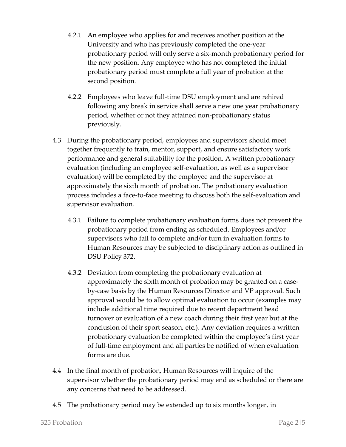- 4.2.1 An employee who applies for and receives another position at the University and who has previously completed the one-year probationary period will only serve a six-month probationary period for the new position. Any employee who has not completed the initial probationary period must complete a full year of probation at the second position.
- 4.2.2 Employees who leave full-time DSU employment and are rehired following any break in service shall serve a new one year probationary period, whether or not they attained non-probationary status previously.
- 4.3 During the probationary period, employees and supervisors should meet together frequently to train, mentor, support, and ensure satisfactory work performance and general suitability for the position. A written probationary evaluation (including an employee self-evaluation, as well as a supervisor evaluation) will be completed by the employee and the supervisor at approximately the sixth month of probation. The probationary evaluation process includes a face-to-face meeting to discuss both the self-evaluation and supervisor evaluation.
	- 4.3.1 Failure to complete probationary evaluation forms does not prevent the probationary period from ending as scheduled. Employees and/or supervisors who fail to complete and/or turn in evaluation forms to Human Resources may be subjected to disciplinary action as outlined in DSU Policy 372.
	- 4.3.2 Deviation from completing the probationary evaluation at approximately the sixth month of probation may be granted on a caseby-case basis by the Human Resources Director and VP approval. Such approval would be to allow optimal evaluation to occur (examples may include additional time required due to recent department head turnover or evaluation of a new coach during their first year but at the conclusion of their sport season, etc.). Any deviation requires a written probationary evaluation be completed within the employee's first year of full-time employment and all parties be notified of when evaluation forms are due.
- 4.4 In the final month of probation, Human Resources will inquire of the supervisor whether the probationary period may end as scheduled or there are any concerns that need to be addressed.
- 4.5 The probationary period may be extended up to six months longer, in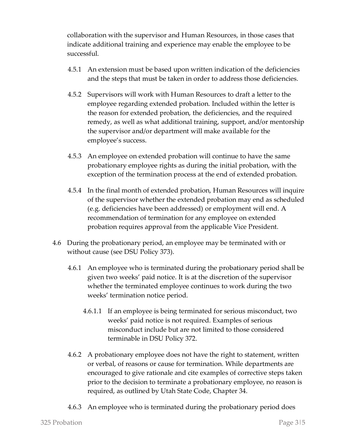collaboration with the supervisor and Human Resources, in those cases that indicate additional training and experience may enable the employee to be successful.

- 4.5.1 An extension must be based upon written indication of the deficiencies and the steps that must be taken in order to address those deficiencies.
- 4.5.2 Supervisors will work with Human Resources to draft a letter to the employee regarding extended probation. Included within the letter is the reason for extended probation, the deficiencies, and the required remedy, as well as what additional training, support, and/or mentorship the supervisor and/or department will make available for the employee's success.
- 4.5.3 An employee on extended probation will continue to have the same probationary employee rights as during the initial probation, with the exception of the termination process at the end of extended probation.
- 4.5.4 In the final month of extended probation, Human Resources will inquire of the supervisor whether the extended probation may end as scheduled (e.g. deficiencies have been addressed) or employment will end. A recommendation of termination for any employee on extended probation requires approval from the applicable Vice President.
- 4.6 During the probationary period, an employee may be terminated with or without cause (see DSU Policy 373).
	- 4.6.1 An employee who is terminated during the probationary period shall be given two weeks' paid notice. It is at the discretion of the supervisor whether the terminated employee continues to work during the two weeks' termination notice period.
		- 4.6.1.1 If an employee is being terminated for serious misconduct, two weeks' paid notice is not required. Examples of serious misconduct include but are not limited to those considered terminable in DSU Policy 372.
	- 4.6.2 A probationary employee does not have the right to statement, written or verbal, of reasons or cause for termination. While departments are encouraged to give rationale and cite examples of corrective steps taken prior to the decision to terminate a probationary employee, no reason is required, as outlined by Utah State Code, Chapter 34.
	- 4.6.3 An employee who is terminated during the probationary period does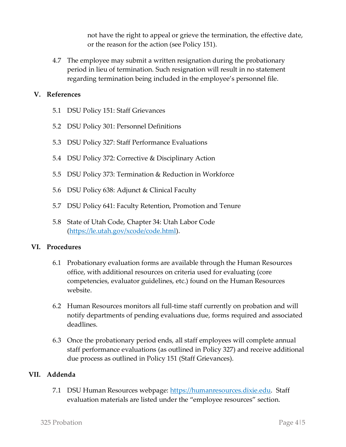not have the right to appeal or grieve the termination, the effective date, or the reason for the action (see Policy 151).

4.7 The employee may submit a written resignation during the probationary period in lieu of termination. Such resignation will result in no statement regarding termination being included in the employee's personnel file.

#### **V. References**

- 5.1 DSU Policy 151: Staff Grievances
- 5.2 DSU Policy 301: Personnel Definitions
- 5.3 DSU Policy 327: Staff Performance Evaluations
- 5.4 DSU Policy 372: Corrective & Disciplinary Action
- 5.5 DSU Policy 373: Termination & Reduction in Workforce
- 5.6 DSU Policy 638: Adjunct & Clinical Faculty
- 5.7 DSU Policy 641: Faculty Retention, Promotion and Tenure
- 5.8 State of Utah Code, Chapter 34: Utah Labor Code [\(https://le.utah.gov/xcode/code.html\)](https://le.utah.gov/xcode/code.html).

#### **VI. Procedures**

- 6.1 Probationary evaluation forms are available through the Human Resources office, with additional resources on criteria used for evaluating (core competencies, evaluator guidelines, etc.) found on the Human Resources website.
- 6.2 Human Resources monitors all full-time staff currently on probation and will notify departments of pending evaluations due, forms required and associated deadlines.
- 6.3 Once the probationary period ends, all staff employees will complete annual staff performance evaluations (as outlined in Policy 327) and receive additional due process as outlined in Policy 151 (Staff Grievances).

#### **VII. Addenda**

7.1 DSU Human Resources webpage: [https://humanresources.dixie.edu.](https://humanresources.dixie.edu/) Staff evaluation materials are listed under the "employee resources" section.